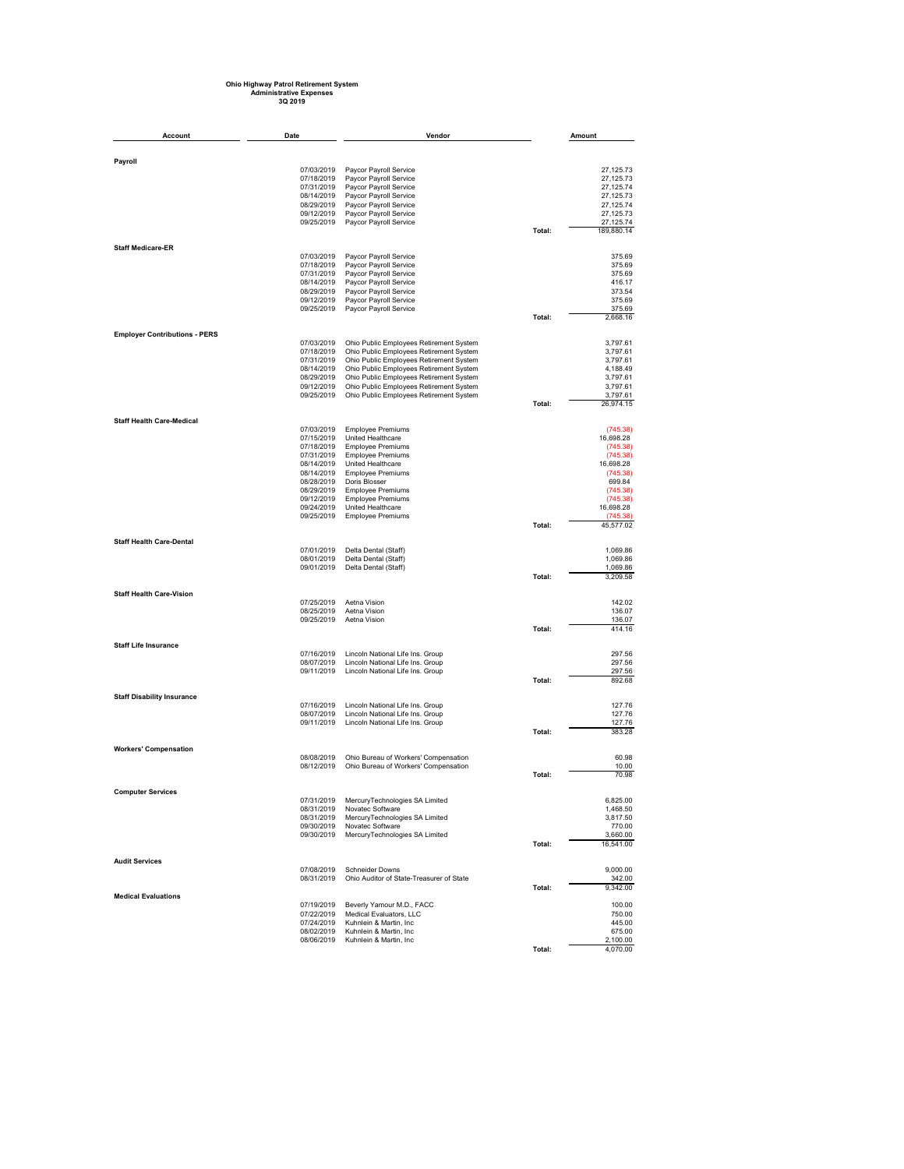## **Ohio Highway Patrol Retirement System Administrative Expenses 3Q 2019**

| Account                              | Date                     | Vendor                                                                             |        | Amount                  |
|--------------------------------------|--------------------------|------------------------------------------------------------------------------------|--------|-------------------------|
|                                      |                          |                                                                                    |        |                         |
| Payroll                              |                          |                                                                                    |        |                         |
|                                      | 07/03/2019<br>07/18/2019 | Paycor Payroll Service<br>Paycor Payroll Service                                   |        | 27,125.73<br>27,125.73  |
|                                      | 07/31/2019               | Paycor Payroll Service                                                             |        | 27,125.74               |
|                                      | 08/14/2019               | Paycor Payroll Service                                                             |        | 27,125.73               |
|                                      | 08/29/2019               | Paycor Payroll Service                                                             |        | 27,125.74               |
|                                      | 09/12/2019               | Paycor Payroll Service                                                             |        | 27,125.73               |
|                                      | 09/25/2019               | Paycor Payroll Service                                                             | Total: | 27,125.74<br>189,880.14 |
| <b>Staff Medicare-ER</b>             |                          |                                                                                    |        |                         |
|                                      | 07/03/2019               | Paycor Payroll Service                                                             |        | 375.69                  |
|                                      | 07/18/2019               | Paycor Payroll Service                                                             |        | 375.69                  |
|                                      | 07/31/2019               | Paycor Payroll Service                                                             |        | 375.69                  |
|                                      | 08/14/2019<br>08/29/2019 | Paycor Payroll Service<br>Paycor Payroll Service                                   |        | 416.17<br>373.54        |
|                                      | 09/12/2019               | Paycor Payroll Service                                                             |        | 375.69                  |
|                                      | 09/25/2019               | Paycor Payroll Service                                                             |        | 375.69                  |
|                                      |                          |                                                                                    | Total: | 2,668.16                |
| <b>Employer Contributions - PERS</b> | 07/03/2019               |                                                                                    |        | 3,797.61                |
|                                      | 07/18/2019               | Ohio Public Employees Retirement System<br>Ohio Public Employees Retirement System |        | 3,797.61                |
|                                      | 07/31/2019               | Ohio Public Employees Retirement System                                            |        | 3,797.61                |
|                                      | 08/14/2019               | Ohio Public Employees Retirement System                                            |        | 4,188.49                |
|                                      | 08/29/2019               | Ohio Public Employees Retirement System                                            |        | 3,797.61                |
|                                      | 09/12/2019<br>09/25/2019 | Ohio Public Employees Retirement System<br>Ohio Public Employees Retirement System |        | 3,797.61<br>3,797.61    |
|                                      |                          |                                                                                    | Total: | 26,974.15               |
| <b>Staff Health Care-Medical</b>     |                          |                                                                                    |        |                         |
|                                      | 07/03/2019               | <b>Employee Premiums</b>                                                           |        | (745.38)                |
|                                      | 07/15/2019               | United Healthcare                                                                  |        | 16,698.28               |
|                                      | 07/18/2019<br>07/31/2019 | <b>Employee Premiums</b><br><b>Employee Premiums</b>                               |        | (745.38)<br>(745.38)    |
|                                      | 08/14/2019               | United Healthcare                                                                  |        | 16,698.28               |
|                                      | 08/14/2019               | <b>Employee Premiums</b>                                                           |        | (745.38)                |
|                                      | 08/28/2019               | Doris Blosser                                                                      |        | 699.84                  |
|                                      | 08/29/2019               | <b>Employee Premiums</b>                                                           |        | (745.38)                |
|                                      | 09/12/2019<br>09/24/2019 | <b>Employee Premiums</b><br>United Healthcare                                      |        | (745.38)<br>16,698.28   |
|                                      | 09/25/2019               | <b>Employee Premiums</b>                                                           |        | (745.38)                |
|                                      |                          |                                                                                    | Total: | 45,577.02               |
| <b>Staff Health Care-Dental</b>      |                          |                                                                                    |        |                         |
|                                      | 07/01/2019               | Delta Dental (Staff)                                                               |        | 1,069.86                |
|                                      | 08/01/2019               | Delta Dental (Staff)                                                               |        | 1,069.86                |
|                                      | 09/01/2019               | Delta Dental (Staff)                                                               | Total: | 1,069.86<br>3,209.58    |
|                                      |                          |                                                                                    |        |                         |
| <b>Staff Health Care-Vision</b>      | 07/25/2019               | Aetna Vision                                                                       |        | 142.02                  |
|                                      | 08/25/2019               | Aetna Vision                                                                       |        | 136.07                  |
|                                      | 09/25/2019               | Aetna Vision                                                                       |        | 136.07                  |
|                                      |                          |                                                                                    | Total: | 414.16                  |
| <b>Staff Life Insurance</b>          |                          |                                                                                    |        |                         |
|                                      | 07/16/2019               | Lincoln National Life Ins. Group                                                   |        | 297.56                  |
|                                      | 08/07/2019<br>09/11/2019 | Lincoln National Life Ins. Group<br>Lincoln National Life Ins. Group               |        | 297.56<br>297.56        |
|                                      |                          |                                                                                    | Total: | 892.68                  |
| <b>Staff Disability Insurance</b>    |                          |                                                                                    |        |                         |
|                                      | 07/16/2019               | Lincoln National Life Ins. Group                                                   |        | 127.76                  |
|                                      | 08/07/2019               | Lincoln National Life Ins. Group                                                   |        | 127.76                  |
|                                      | 09/11/2019               | Lincoln National Life Ins. Group                                                   | Total: | 127.76<br>383.28        |
|                                      |                          |                                                                                    |        |                         |
| <b>Workers' Compensation</b>         |                          |                                                                                    |        |                         |
|                                      | 08/08/2019<br>08/12/2019 | Ohio Bureau of Workers' Compensation<br>Ohio Bureau of Workers' Compensation       |        | 60.98<br>10.00          |
|                                      |                          |                                                                                    | Total: | 70.98                   |
|                                      |                          |                                                                                    |        |                         |
| <b>Computer Services</b>             | 07/31/2019               | MercuryTechnologies SA Limited                                                     |        | 6,825.00                |
|                                      | 08/31/2019               | Novatec Software                                                                   |        | 1,468.50                |
|                                      | 08/31/2019               | MercuryTechnologies SA Limited                                                     |        | 3,817.50                |
|                                      | 09/30/2019<br>09/30/2019 | Novatec Software<br>MercuryTechnologies SA Limited                                 |        | 770.00<br>3,660.00      |
|                                      |                          |                                                                                    | Total: | 16,541.00               |
| <b>Audit Services</b>                |                          |                                                                                    |        |                         |
|                                      | 07/08/2019               | <b>Schneider Downs</b>                                                             |        | 9.000.00                |
|                                      | 08/31/2019               | Ohio Auditor of State-Treasurer of State                                           | Total: | 342.00                  |
| <b>Medical Evaluations</b>           |                          |                                                                                    |        | 9,342.00                |
|                                      | 07/19/2019               | Beverly Yamour M.D., FACC                                                          |        | 100.00                  |
|                                      | 07/22/2019               | Medical Evaluators, LLC                                                            |        | 750.00                  |
|                                      | 07/24/2019<br>08/02/2019 | Kuhnlein & Martin, Inc.<br>Kuhnlein & Martin, Inc                                  |        | 445.00<br>675.00        |
|                                      | 08/06/2019               | Kuhnlein & Martin, Inc.                                                            |        | 2,100.00                |
|                                      |                          |                                                                                    | Total: | 4,070.00                |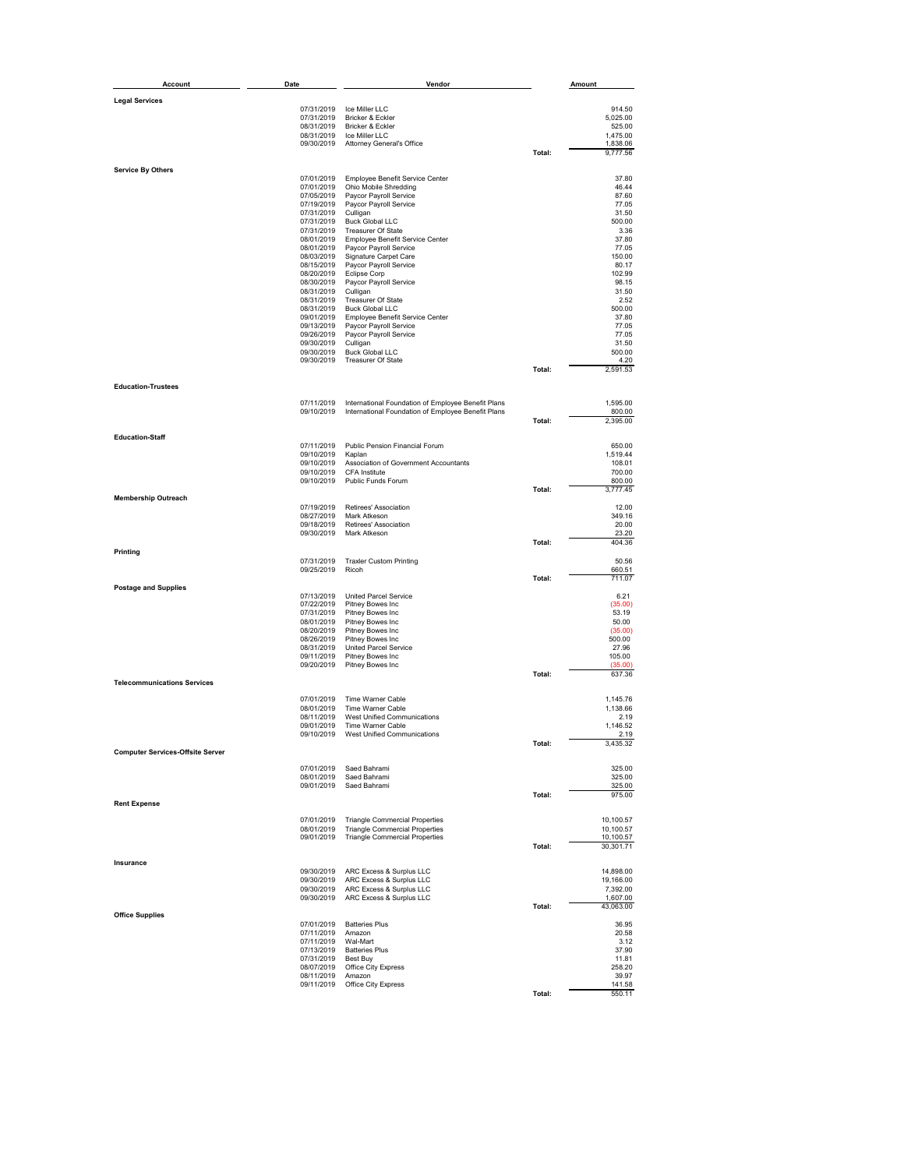| Account                                 | Date                     | Vendor                                                                                                   |        | Amount                 |
|-----------------------------------------|--------------------------|----------------------------------------------------------------------------------------------------------|--------|------------------------|
| <b>Legal Services</b>                   |                          |                                                                                                          |        |                        |
|                                         |                          | 07/31/2019 Ice Miller LLC                                                                                |        | 914.50                 |
|                                         | 07/31/2019<br>08/31/2019 | Bricker & Eckler<br>Bricker & Eckler                                                                     |        | 5,025.00<br>525.00     |
|                                         | 08/31/2019               | Ice Miller LLC                                                                                           |        | 1,475.00               |
|                                         | 09/30/2019               | Attorney General's Office                                                                                | Total: | 1,838.06<br>9,777.56   |
| <b>Service By Others</b>                |                          |                                                                                                          |        |                        |
|                                         | 07/01/2019<br>07/01/2019 | Employee Benefit Service Center<br>Ohio Mobile Shredding                                                 |        | 37.80<br>46.44         |
|                                         | 07/05/2019               | Paycor Payroll Service                                                                                   |        | 87.60                  |
|                                         | 07/19/2019<br>07/31/2019 | Paycor Payroll Service<br>Culligan                                                                       |        | 77.05<br>31.50         |
|                                         | 07/31/2019               | <b>Buck Global LLC</b>                                                                                   |        | 500.00                 |
|                                         | 07/31/2019<br>08/01/2019 | <b>Treasurer Of State</b><br>Employee Benefit Service Center                                             |        | 3.36<br>37.80          |
|                                         | 08/01/2019<br>08/03/2019 | Paycor Payroll Service<br>Signature Carpet Care                                                          |        | 77.05<br>150.00        |
|                                         | 08/15/2019               | Paycor Payroll Service                                                                                   |        | 80.17                  |
|                                         | 08/20/2019<br>08/30/2019 | <b>Eclipse Corp</b><br>Paycor Payroll Service                                                            |        | 102.99<br>98.15        |
|                                         | 08/31/2019<br>08/31/2019 | Culligan<br><b>Treasurer Of State</b>                                                                    |        | 31.50<br>2.52          |
|                                         | 08/31/2019               | <b>Buck Global LLC</b>                                                                                   |        | 500.00                 |
|                                         | 09/01/2019<br>09/13/2019 | Employee Benefit Service Center<br>Paycor Payroll Service                                                |        | 37.80<br>77.05         |
|                                         | 09/26/2019               | Paycor Payroll Service                                                                                   |        | 77.05                  |
|                                         | 09/30/2019<br>09/30/2019 | Culligan<br><b>Buck Global LLC</b>                                                                       |        | 31.50<br>500.00        |
|                                         | 09/30/2019               | Treasurer Of State                                                                                       | Total: | 4.20<br>2,591.53       |
| <b>Education-Trustees</b>               |                          |                                                                                                          |        |                        |
|                                         |                          |                                                                                                          |        |                        |
|                                         | 07/11/2019<br>09/10/2019 | International Foundation of Employee Benefit Plans<br>International Foundation of Employee Benefit Plans |        | 1,595.00<br>800.00     |
|                                         |                          |                                                                                                          | Total: | 2,395.00               |
| <b>Education-Staff</b>                  |                          |                                                                                                          |        |                        |
|                                         | 07/11/2019<br>09/10/2019 | Public Pension Financial Forum<br>Kaplan                                                                 |        | 650.00<br>1,519.44     |
|                                         | 09/10/2019<br>09/10/2019 | Association of Government Accountants<br>CFA Institute                                                   |        | 108.01<br>700.00       |
|                                         | 09/10/2019               | Public Funds Forum                                                                                       |        | 800.00                 |
| <b>Membership Outreach</b>              |                          |                                                                                                          | Total: | 3,777.45               |
|                                         | 07/19/2019               | Retirees' Association                                                                                    |        | 12.00                  |
|                                         | 08/27/2019<br>09/18/2019 | Mark Atkeson<br>Retirees' Association                                                                    |        | 349.16<br>20.00        |
|                                         | 09/30/2019               | Mark Atkeson                                                                                             | Total: | 23.20<br>404.36        |
| Printing                                |                          |                                                                                                          |        |                        |
|                                         | 07/31/2019<br>09/25/2019 | <b>Traxler Custom Printing</b><br>Ricoh                                                                  |        | 50.56<br>660.51        |
|                                         |                          |                                                                                                          | Total: | 711.07                 |
| <b>Postage and Supplies</b>             | 07/13/2019               | United Parcel Service                                                                                    |        | 6.21                   |
|                                         | 07/22/2019<br>07/31/2019 | Pitney Bowes Inc<br>Pitney Bowes Inc                                                                     |        | (35.00)<br>53.19       |
|                                         | 08/01/2019<br>08/20/2019 | Pitney Bowes Inc<br>Pitney Bowes Inc                                                                     |        | 50.00                  |
|                                         | 08/26/2019               | Pitney Bowes Inc                                                                                         |        | (35.00)<br>500.00      |
|                                         | 08/31/2019<br>09/11/2019 | United Parcel Service<br>Pitney Bowes Inc                                                                |        | 27.96<br>105.00        |
|                                         | 09/20/2019               | Pitney Bowes Inc                                                                                         |        | (35.00)<br>637.36      |
| <b>Telecommunications Services</b>      |                          |                                                                                                          | Total: |                        |
|                                         | 07/01/2019               | Time Warner Cable                                                                                        |        | 1,145.76               |
|                                         | 08/01/2019<br>08/11/2019 | Time Warner Cable<br><b>West Unified Communications</b>                                                  |        | 1,138.66<br>2.19       |
|                                         | 09/01/2019               | Time Warner Cable                                                                                        |        | 1,146.52               |
|                                         | 09/10/2019               | West Unified Communications                                                                              | Total: | 2.19<br>3,435.32       |
| <b>Computer Services-Offsite Server</b> |                          |                                                                                                          |        |                        |
|                                         | 07/01/2019               | Saed Bahrami                                                                                             |        | 325.00                 |
|                                         | 08/01/2019<br>09/01/2019 | Saed Bahrami<br>Saed Bahrami                                                                             |        | 325.00<br>325.00       |
| <b>Rent Expense</b>                     |                          |                                                                                                          | Total: | 975.00                 |
|                                         | 07/01/2019               |                                                                                                          |        |                        |
|                                         | 08/01/2019               | <b>Triangle Commercial Properties</b><br><b>Triangle Commercial Properties</b>                           |        | 10,100.57<br>10,100.57 |
|                                         | 09/01/2019               | <b>Triangle Commercial Properties</b>                                                                    | Total: | 10,100.57<br>30,301.71 |
| Insurance                               |                          |                                                                                                          |        |                        |
|                                         | 09/30/2019               | ARC Excess & Surplus LLC                                                                                 |        | 14,898.00              |
|                                         | 09/30/2019<br>09/30/2019 | ARC Excess & Surplus LLC<br>ARC Excess & Surplus LLC                                                     |        | 19,166.00<br>7,392.00  |
|                                         | 09/30/2019               | ARC Excess & Surplus LLC                                                                                 |        | 1,607.00               |
| <b>Office Supplies</b>                  |                          |                                                                                                          | Total: | 43,063.00              |
|                                         | 07/01/2019<br>07/11/2019 | <b>Batteries Plus</b><br>Amazon                                                                          |        | 36.95<br>20.58         |
|                                         | 07/11/2019               | Wal-Mart                                                                                                 |        | 3.12                   |
|                                         | 07/13/2019<br>07/31/2019 | <b>Batteries Plus</b><br>Best Buy                                                                        |        | 37.90<br>11.81         |
|                                         | 08/07/2019<br>08/11/2019 | Office City Express<br>Amazon                                                                            |        | 258.20<br>39.97        |
|                                         | 09/11/2019               | Office City Express                                                                                      |        | 141.58                 |
|                                         |                          |                                                                                                          | Total: | 550.11                 |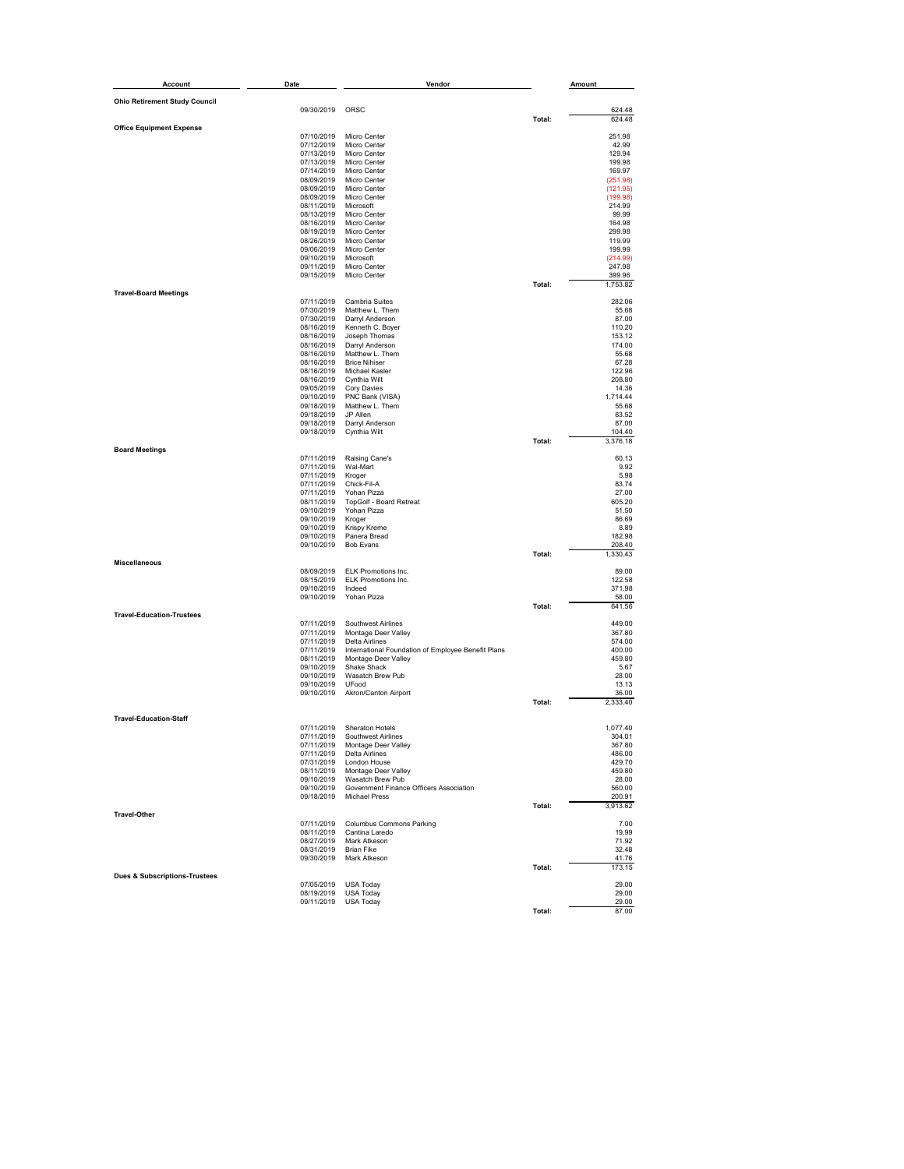| <b>Account</b>                           | Date                     | Vendor                                                                    |        | Amount             |
|------------------------------------------|--------------------------|---------------------------------------------------------------------------|--------|--------------------|
| <b>Ohio Retirement Study Council</b>     |                          |                                                                           |        |                    |
|                                          | 09/30/2019               | ORSC                                                                      |        | 624.48             |
| <b>Office Equipment Expense</b>          |                          |                                                                           | Total: | 624.48             |
|                                          | 07/10/2019<br>07/12/2019 | Micro Center<br>Micro Center                                              |        | 251.98<br>42.99    |
|                                          | 07/13/2019               | <b>Micro Center</b>                                                       |        | 129.94             |
|                                          | 07/13/2019               | Micro Center                                                              |        | 199.98             |
|                                          | 07/14/2019<br>08/09/2019 | Micro Center<br>Micro Center                                              |        | 169.97<br>(251.98) |
|                                          | 08/09/2019               | Micro Center                                                              |        | (121.95)           |
|                                          | 08/09/2019<br>08/11/2019 | Micro Center<br>Microsoft                                                 |        | (199.98)<br>214.99 |
|                                          | 08/13/2019               | Micro Center                                                              |        | 99.99              |
|                                          | 08/16/2019               | Micro Center                                                              |        | 164.98             |
|                                          | 08/19/2019<br>08/26/2019 | Micro Center<br>Micro Center                                              |        | 299.98<br>119.99   |
|                                          | 09/06/2019               | Micro Center                                                              |        | 199.99             |
|                                          | 09/10/2019<br>09/11/2019 | Microsoft<br>Micro Center                                                 |        | (214.99)<br>247.98 |
|                                          | 09/15/2019               | Micro Center                                                              |        | 399.96             |
| <b>Travel-Board Meetings</b>             |                          |                                                                           | Total: | 1,753.82           |
|                                          | 07/11/2019               | Cambria Suites                                                            |        | 282.06             |
|                                          | 07/30/2019<br>07/30/2019 | Matthew L. Them<br>Darryl Anderson                                        |        | 55.68<br>87.00     |
|                                          | 08/16/2019               | Kenneth C. Boyer                                                          |        | 110.20             |
|                                          | 08/16/2019               | Joseph Thomas                                                             |        | 153.12             |
|                                          | 08/16/2019<br>08/16/2019 | Darryl Anderson<br>Matthew L. Them                                        |        | 174.00<br>55.68    |
|                                          | 08/16/2019               | <b>Brice Nihiser</b>                                                      |        | 67.28              |
|                                          | 08/16/2019<br>08/16/2019 | Michael Kasler                                                            |        | 122.96<br>208.80   |
|                                          | 09/05/2019               | Cynthia Wilt<br>Cory Davies                                               |        | 14.36              |
|                                          | 09/10/2019               | PNC Bank (VISA)                                                           |        | 1,714.44           |
|                                          | 09/18/2019<br>09/18/2019 | Matthew L. Them<br>JP Allen                                               |        | 55.68<br>83.52     |
|                                          | 09/18/2019               | Darryl Anderson                                                           |        | 87.00              |
|                                          | 09/18/2019               | Cynthia Wilt                                                              | Total: | 104.40<br>3,376.18 |
| <b>Board Meetings</b>                    |                          |                                                                           |        |                    |
|                                          | 07/11/2019<br>07/11/2019 | Raising Cane's<br>Wal-Mart                                                |        | 60.13<br>9.92      |
|                                          | 07/11/2019               | Kroger                                                                    |        | 5.98               |
|                                          | 07/11/2019<br>07/11/2019 | Chick-Fil-A<br>Yohan Pizza                                                |        | 83.74<br>27.00     |
|                                          | 08/11/2019               | TopGolf - Board Retreat                                                   |        | 605.20             |
|                                          | 09/10/2019<br>09/10/2019 | Yohan Pizza<br>Kroger                                                     |        | 51.50<br>86.69     |
|                                          | 09/10/2019               | <b>Krispy Kreme</b>                                                       |        | 8.89               |
|                                          | 09/10/2019               | Panera Bread<br><b>Bob Evans</b>                                          |        | 182.98             |
|                                          | 09/10/2019               |                                                                           | Total: | 208.40<br>1,330.43 |
| <b>Miscellaneous</b>                     | 08/09/2019               | ELK Promotions Inc.                                                       |        | 89.00              |
|                                          | 08/15/2019               | ELK Promotions Inc.                                                       |        | 122.58             |
|                                          | 09/10/2019               | Indeed                                                                    |        | 371.98             |
|                                          | 09/10/2019               | Yohan Pizza                                                               | Total: | 58.00<br>641.56    |
| <b>Travel-Education-Trustees</b>         |                          |                                                                           |        |                    |
|                                          | 07/11/2019<br>07/11/2019 | Southwest Airlines<br>Montage Deer Valley                                 |        | 449.00<br>367.80   |
|                                          | 07/11/2019               | Delta Airlines                                                            |        | 574.00             |
|                                          | 07/11/2019<br>08/11/2019 | International Foundation of Employee Benefit Plans<br>Montage Deer Valley |        | 400.00<br>459.80   |
|                                          | 09/10/2019               | Shake Shack                                                               |        | 5.67               |
|                                          | 09/10/2019<br>09/10/2019 | Wasatch Brew Pub<br>UFood                                                 |        | 28.00<br>13.13     |
|                                          | 09/10/2019               | Akron/Canton Airport                                                      |        | 36.00              |
|                                          |                          |                                                                           | Total: | 2,333.40           |
| <b>Travel-Education-Staff</b>            |                          |                                                                           |        |                    |
|                                          | 07/11/2019               | <b>Sheraton Hotels</b><br>07/11/2019 Southwest Airlines                   |        | 1,077.40<br>304.01 |
|                                          |                          | 07/11/2019 Montage Deer Valley                                            |        | 367.80             |
|                                          |                          | 07/11/2019 Delta Airlines<br>07/31/2019 London House                      |        | 486.00             |
|                                          | 08/11/2019               | Montage Deer Valley                                                       |        | 429.70<br>459.80   |
|                                          | 09/10/2019               | Wasatch Brew Pub                                                          |        | 28.00              |
|                                          | 09/10/2019<br>09/18/2019 | Government Finance Officers Association<br><b>Michael Press</b>           |        | 560.00<br>200.91   |
|                                          |                          |                                                                           | Total: | 3,913.62           |
| <b>Travel-Other</b>                      | 07/11/2019               | <b>Columbus Commons Parking</b>                                           |        | 7.00               |
|                                          | 08/11/2019               | Cantina Laredo                                                            |        | 19.99              |
|                                          | 08/27/2019<br>08/31/2019 | Mark Atkeson<br><b>Brian Fike</b>                                         |        | 71.92<br>32.48     |
|                                          | 09/30/2019               | Mark Atkeson                                                              |        | 41.76              |
| <b>Dues &amp; Subscriptions-Trustees</b> |                          |                                                                           | Total: | 173.15             |
|                                          | 07/05/2019               | <b>USA Today</b>                                                          |        | 29.00              |
|                                          | 08/19/2019<br>09/11/2019 | <b>USA Today</b><br>USA Today                                             |        | 29.00<br>29.00     |
|                                          |                          |                                                                           | Total: | 87.00              |